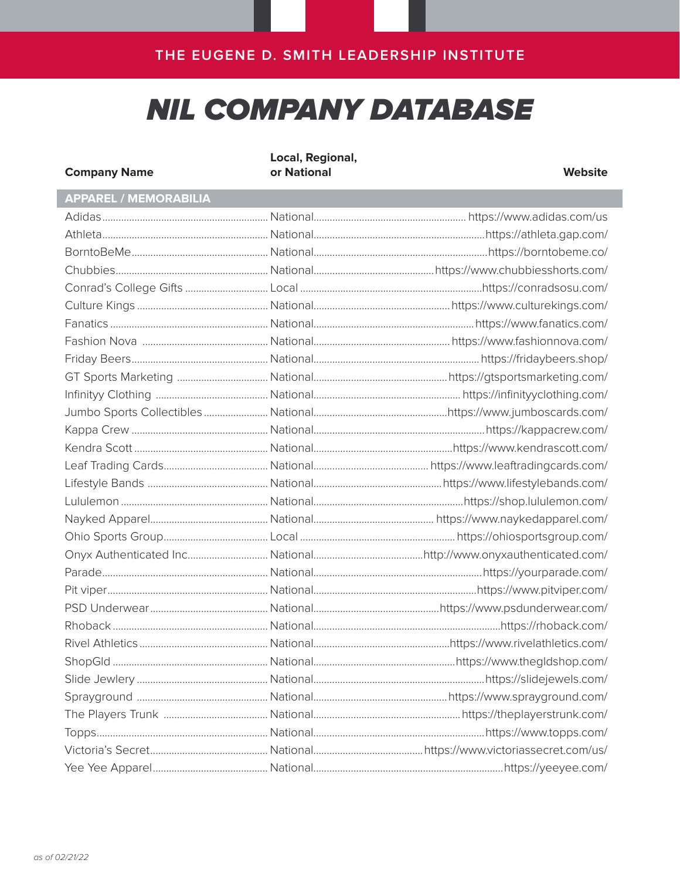# **NIL COMPANY DATABASE**

| <b>Company Name</b>          | Local, Regional,<br>or National | <b>Website</b> |
|------------------------------|---------------------------------|----------------|
| <b>APPAREL / MEMORABILIA</b> |                                 |                |
|                              |                                 |                |
|                              |                                 |                |
|                              |                                 |                |
|                              |                                 |                |
|                              |                                 |                |
|                              |                                 |                |
|                              |                                 |                |
|                              |                                 |                |
|                              |                                 |                |
|                              |                                 |                |
|                              |                                 |                |
|                              |                                 |                |
|                              |                                 |                |
|                              |                                 |                |
|                              |                                 |                |
|                              |                                 |                |
|                              |                                 |                |
|                              |                                 |                |
|                              |                                 |                |
|                              |                                 |                |
|                              |                                 |                |
|                              |                                 |                |
|                              |                                 |                |
|                              |                                 |                |
| Rivel Athletics              |                                 |                |
|                              |                                 |                |
|                              |                                 |                |
|                              |                                 |                |
|                              |                                 |                |
|                              |                                 |                |
|                              |                                 |                |
|                              |                                 |                |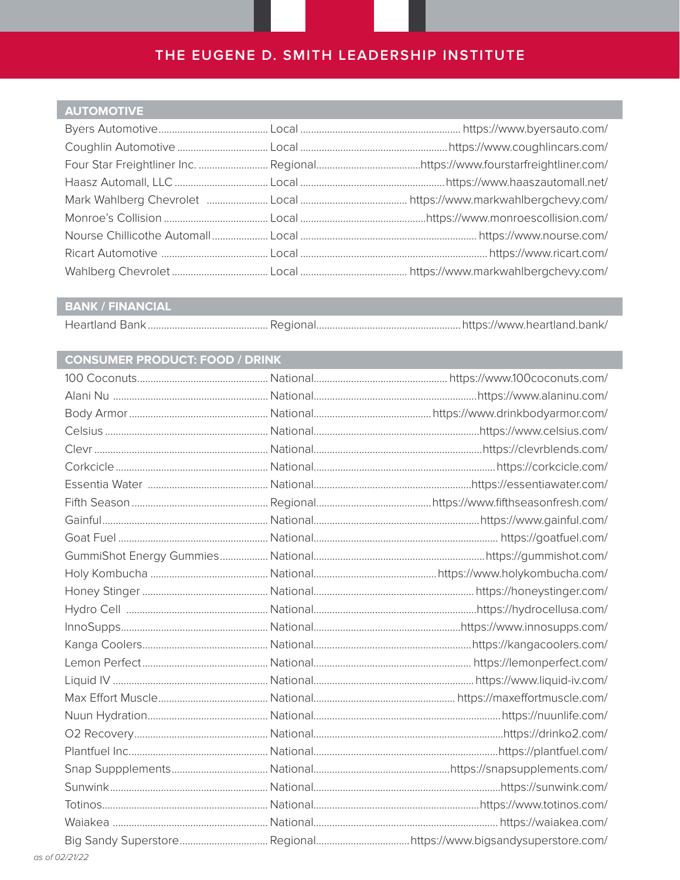#### **AUTOMOTIVE**

#### **BANK / FINANCIAL**

#### **CONSUMER PRODUCT: FOOD / DRINK**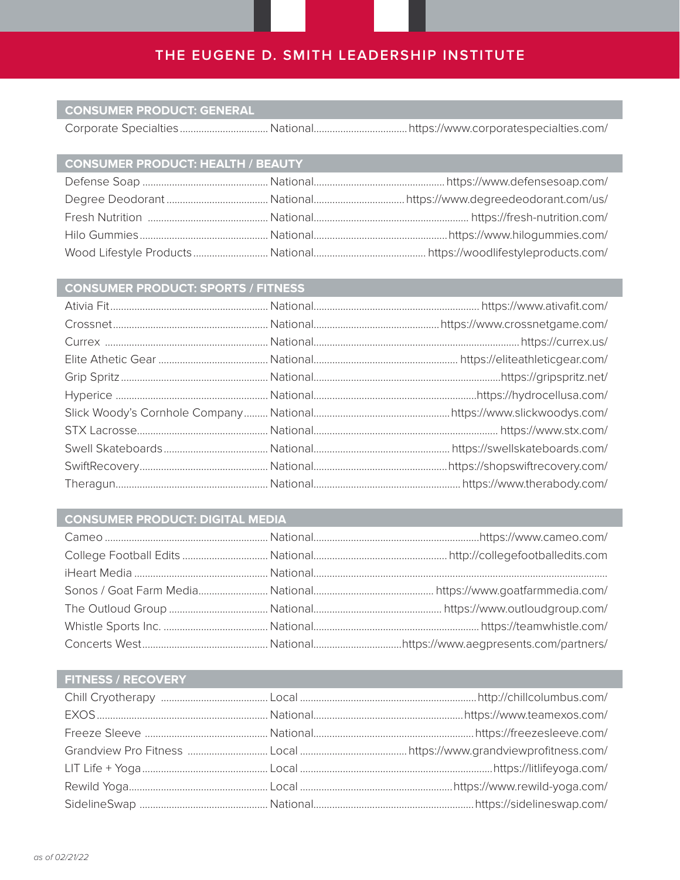#### **CONSUMER PRODUCT: GENERAL**

Corporate Specialties.................................National...................................https://www.corporatespecialties.com/

| CONSUMER PRODUCT: HEALTH / BEAUTY |  |
|-----------------------------------|--|
|                                   |  |
|                                   |  |
|                                   |  |
|                                   |  |
|                                   |  |

| <b>CONSUMER PRODUCT: SPORTS / FITNESS</b> |  |  |  |
|-------------------------------------------|--|--|--|
|                                           |  |  |  |
|                                           |  |  |  |
|                                           |  |  |  |
|                                           |  |  |  |
|                                           |  |  |  |
|                                           |  |  |  |
|                                           |  |  |  |
|                                           |  |  |  |
|                                           |  |  |  |
|                                           |  |  |  |
|                                           |  |  |  |

#### **CONSUMER PRODUCT: DIGITAL MEDIA**

#### **FITNESS / RECOVERY**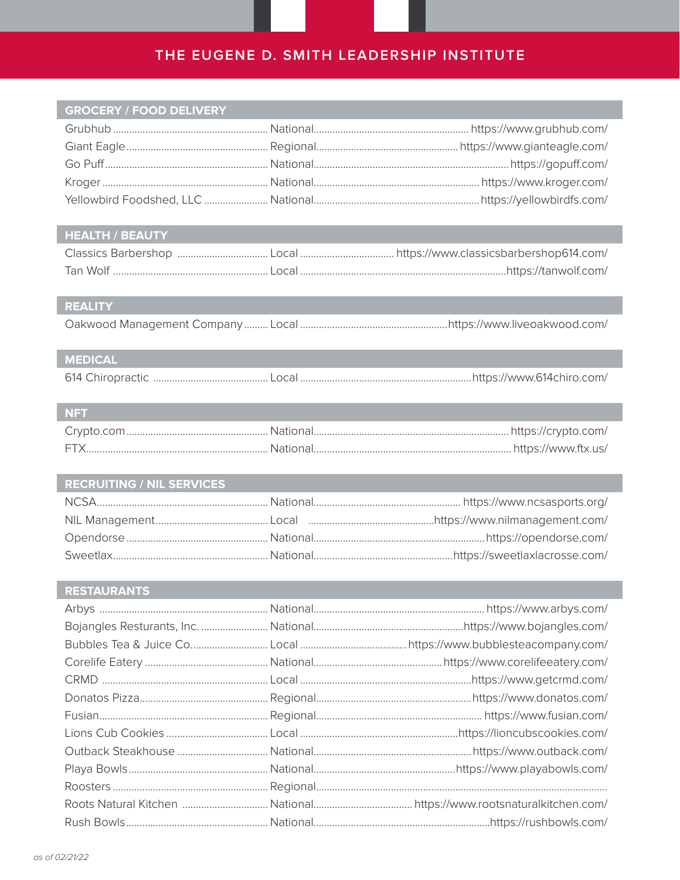#### **GROCERY / FOOD DELIVERY**

#### HEALTH / BEAUTY

#### REALITY

## MEDICAL

| <b>NFT</b> |  |
|------------|--|
|            |  |
| <b>FTX</b> |  |

| <b>RECRUITING / NIL SERVICES</b> |  |
|----------------------------------|--|
|                                  |  |
|                                  |  |
|                                  |  |
|                                  |  |

#### RESTAURANTS